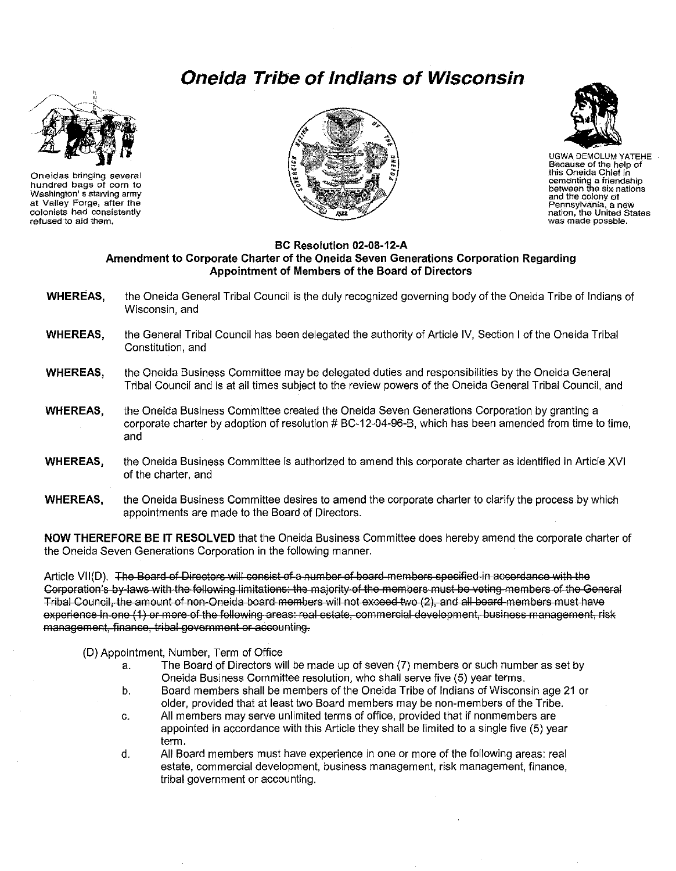## **Oneida Tribe of Indians of Wisconsin**



Oneidas bringing several hundred bags of corn to Washington's starving army at Valley Forge, after the colonists had consistently refused to aid them.





**UGWA DEMOLUM YATEHE** Because of the help of this Oneida Chief in contenting a friendship<br>between the six nations and the colony of and the colony of<br>Pennsylvania, a new<br>nation, the United States was made possble.

## BC Resolution 02-08-12-A Amendment to Corporate Charter of the Oneida Seven Generations Corporation Regarding Appointment of Members of the Board of Directors

| <b>WHEREAS,</b> | the Oneida General Tribal Council is the duly recognized governing body of the Oneida Tribe of Indians of<br>Wisconsin, and                                                                                   |
|-----------------|---------------------------------------------------------------------------------------------------------------------------------------------------------------------------------------------------------------|
| <b>WHEREAS,</b> | the General Tribal Council has been delegated the authority of Article IV, Section I of the Oneida Tribal<br>Constitution, and                                                                                |
| <b>WHEREAS,</b> | the Oneida Business Committee may be delegated duties and responsibilities by the Oneida General<br>Tribal Council and is at all times subject to the review powers of the Oneida General Tribal Council, and |
| <b>WHEREAS,</b> | the Oneida Business Committee created the Oneida Seven Generations Corporation by granting a<br>corporate charter by adoption of resolution # BC-12-04-96-B, which has been amended from time to time,<br>and |
| <b>WHEREAS,</b> | the Oneida Business Committee is authorized to amend this corporate charter as identified in Article XVI<br>of the charter, and                                                                               |

the Oneida Business Committee desires to amend the corporate charter to clarify the process by which **WHEREAS,** appointments are made to the Board of Directors.

NOW THEREFORE BE IT RESOLVED that the Oneida Business Committee does hereby amend the corporate charter of the Oneida Seven Generations Corporation in the following manner.

Article VII(D). The Board of Directors will consist of a number of board members specified in accordance with the Corporation's by laws with the following limitations: the majority of the members must be voting members of the General Tribal Council, the amount of non-Oneida board members will not exceed two (2), and all board members must have experience in one (1) or more of the following areas: real estate, commercial development, business management, risk management, finance, tribal government or accounting.

(D) Appointment, Number, Term of Office

- The Board of Directors will be made up of seven (7) members or such number as set by a. Oneida Business Committee resolution, who shall serve five (5) year terms.
- Board members shall be members of the Oneida Tribe of Indians of Wisconsin age 21 or b. older, provided that at least two Board members may be non-members of the Tribe.
- All members may serve unlimited terms of office, provided that if nonmembers are  $C_{\alpha}$ appointed in accordance with this Article they shall be limited to a single five (5) year term.
- d. All Board members must have experience in one or more of the following areas: real estate, commercial development, business management, risk management, finance, tribal government or accounting.